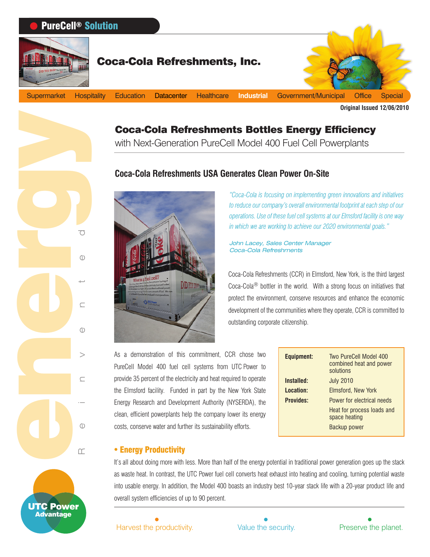# Coca-Cola Refreshments Bottles Energy Efficiency

with Next-Generation PureCell Model 400 Fuel Cell Powerplants

# **Coca-Cola Refreshments USA Generates Clean Power On-Site**



*"Coca-Cola is focusing on implementing green innovations and initiatives to reduce our company's overall environmental footprint at each step of our operations. Use of these fuel cell systems at our Elmsford facility is one way in which we are working to achieve our 2020 environmental goals."*

John Lacey, Sales Center Manager Coca-Cola Refreshments

Coca-Cola Refreshments (CCR) in Elmsford, New York, is the third largest Coca-Cola® bottler in the world. With a strong focus on initiatives that protect the environment, conserve resources and enhance the economic development of the communities where they operate, CCR is committed to outstanding corporate citizenship.

As a demonstration of this commitment, CCR chose two PureCell Model 400 fuel cell systems from UTC Power to provide 35 percent of the electricity and heat required to operate the Elmsford facility. Funded in part by the New York State Energy Research and Development Authority (NYSERDA), the clean, efficient powerplants help the company lower its energy costs, conserve water and further its sustainability efforts.

| <b>Equipment:</b> | Two PureCell Model 400<br>combined heat and power<br>solutions |
|-------------------|----------------------------------------------------------------|
| Installed:        | <b>July 2010</b>                                               |
| Location:         | Elmsford, New York                                             |
| <b>Provides:</b>  | Power for electrical needs                                     |
|                   | Heat for process loads and<br>space heating                    |
|                   | Backup power                                                   |

#### **• Energy Productivity**

Reinvented

energy

UTC Power Advantage

It's all about doing more with less. More than half of the energy potential in traditional power generation goes up the stack as waste heat. In contrast, the UTC Power fuel cell converts heat exhaust into heating and cooling, turning potential waste into usable energy. In addition, the Model 400 boasts an industry best 10-year stack life with a 20-year product life and overall system efficiencies of up to 90 percent.

Harvest the productivity. Value the security. Preserve the planet.